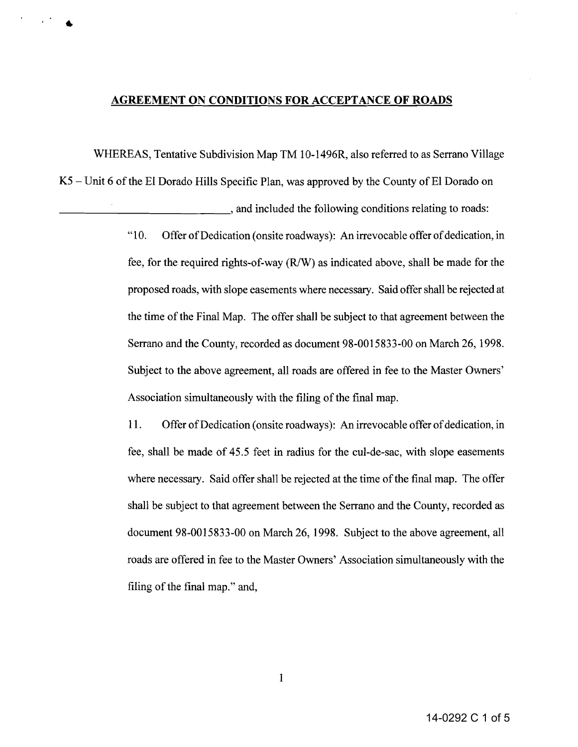## **AGREEMENT ON CONDITIONS FOR ACCEPTANCE OF ROADS**

WHEREAS, Tentative Subdivision Map TM 10-1496R, also referred to as Serrano Village

 $K5$  – Unit 6 of the EI Dorado Hills Specific Plan, was approved by the County of EI Dorado on

\_\_\_\_\_\_\_\_\_\_\_\_\_, and included the following conditions relating to roads:

"10. Offer of Dedication (onsite roadways): An irrevocable offer of dedication, in fee, for the required rights-of-way (R/W) as indicated above, shall be made for the proposed roads, with slope easements where necessary. Said offer shall be rejected at the time of the Final Map. The offer shall be subject to that agreement between the Serrano and the County, recorded as document 98-0015833-00 on March 26, 1998. Subject to the above agreement, all roads are offered in fee to the Master Owners' Association simultaneously with the filing of the final map.

11. Offer of Dedication (onsite roadways): An irrevocable offer of dedication, in fee, shall be made of 45.5 feet in radius for the cul-de-sac, with slope easements where necessary. Said offer shall be rejected at the time of the final map. The offer shall be subject to that agreement between the Serrano and the County, recorded as document 98-0015833-00 on March 26, 1998. Subject to the above agreement, all roads are offered in fee to the Master Owners' Association simultaneously with the filing of the final map." and,

1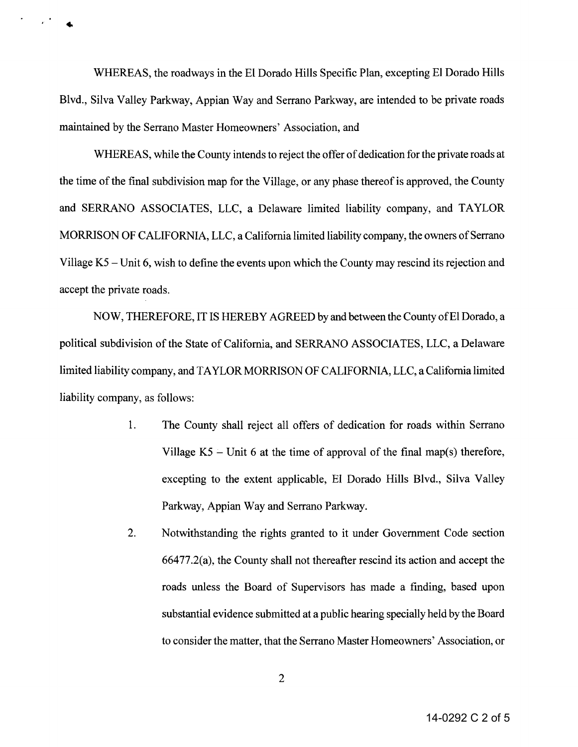WHEREAS, the roadways in the EI Dorado Hills Specific Plan, excepting EI Dorado Hills Blvd., Silva Valley Parkway, Appian Way and Serrano Parkway, are intended to be private roads maintained by the Serrano Master Homeowners' Association, and

 $\mathcal{L}^{(1)}$ 

WHEREAS, while the County intends to reject the offer of dedication for the private roads at the time of the final subdivision map for the Village, or any phase thereof is approved, the County and SERRANO ASSOCIATES, LLC, a Delaware limited liability company, and TAYLOR MORRISON OF CALIFORNIA, LLC, a California limited liability company, the owners of Serrano Village K5 – Unit 6, wish to define the events upon which the County may rescind its rejection and accept the private roads.

NOW, THEREFORE, IT IS HEREBY AGREED by and between the County of'El Dorado, a political subdivision of the State of California, and SERRANO ASSOCIATES, LLC, a Delaware limited liability company, and TAYLOR MORRISON OF CALIFORNIA, LLC, a California limited liability company, as follows:

- 1. The County shall reject all offers of dedication for roads within Serrano Village  $K5$  – Unit 6 at the time of approval of the final map(s) therefore, excepting to the extent applicable, EI Dorado Hills Blvd., Silva Valley Parkway, Appian Way and Serrano Parkway.
- 2. Notwithstanding the rights granted to it under Government Code section 66477.2(a), the County shall not thereafter rescind its action and accept the roads unless the Board of Supervisors has made a finding, based upon substantial evidence submitted at a public hearing specially held by the Board to consider the matter, that the Serrano Master Homeowners' Association, or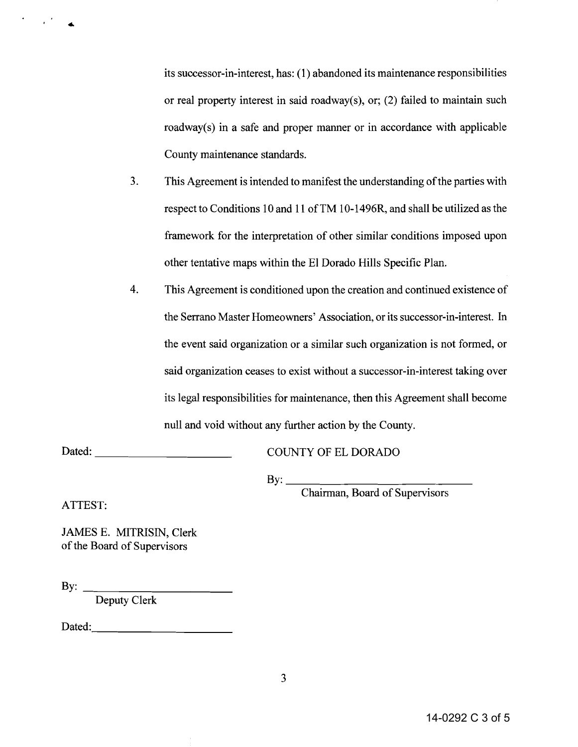its successor-in-interest, has: (l) abandoned its maintenance responsibilities or real property interest in said roadway(s), or; (2) failed to maintain such roadway(s) in a safe and proper manner or in accordance with applicable County maintenance standards.

- 3. This Agreement is intended to manifest the understanding of the parties with respect to Conditions 10 and 11 ofTM 10-1496R, and shall be utilized as the framework for the interpretation of other similar conditions imposed upon other tentative maps within the EI Dorado Hills Specific Plan.
- 4. This Agreement is conditioned upon the creation and continued existence of the Serrano Master Homeowners' Association, or its successor-in-interest. In the event said organization or a similar such organization is not formed, or said organization ceases to exist without a successor-in-interest taking over its legal responsibilities for maintenance, then this Agreement shall become null and void without any further action by the County.

Dated: \_

COUNTY OF EL DORADO

 $\mathbf{B} \mathbf{y}$ :

Chairman, Board of Supervisors

ATTEST:

 $\mathcal{L}_{\mathbf{z}}$ 

JAMES E. MITRISIN, Clerk of the Board of Supervisors

By:  $\qquad \qquad$ 

Deputy Clerk

Dated: with the contract of the contract of the contract of the contract of the contract of the contract of the contract of the contract of the contract of the contract of the contract of the contract of the contract of th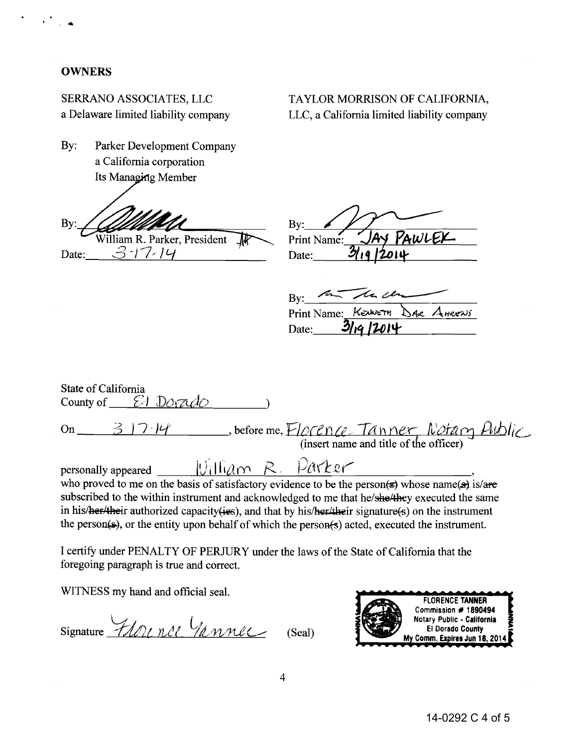## **OWNERS**

· .

SERRANO ASSOCIATES, LLC a Delaware limited liability company TAYLOR MORRISON OF CALIFORNIA, LLC, a California limited liability company

By: Parker Development Company a California corporation Its Managing Member

By: William R. Parker, President

Date:  $3 - 17 - 14$ 

| By:         |        |
|-------------|--------|
| Print Name: | PAWLEX |
| Date:       |        |

By: the the change Print Name: KEUNETH DAR AHRENS Date: 3/19/2014

| State of California<br>County of $\mathcal{E}$ Dorado                                               |  |  |  |  |  |
|-----------------------------------------------------------------------------------------------------|--|--|--|--|--|
| on 31714, before me, Florence Tanner Notary Aublic                                                  |  |  |  |  |  |
| personally appeared $W_1$ $\Box$ $W_2$ $R$ . $\Box$ $\Box$ $R$                                      |  |  |  |  |  |
| who proved to me on the basis of satisfactory evidence to be the person(s) whose name(a) is/are     |  |  |  |  |  |
| subscribed to the within instrument and acknowledged to me that he/she/they executed the same       |  |  |  |  |  |
| in his/her/their authorized capacity(ies), and that by his/her/their signature(s) on the instrument |  |  |  |  |  |
| the person(s), or the entity upon behalf of which the person(s) acted, executed the instrument.     |  |  |  |  |  |

I certify under PENALTY OF PERJURY under the laws of the State of California that the foregoing paragraph is true and correct.

WITNESS my hand and official seal.

 $\bigcup_{i=1}^{\infty}$  .  $S$ ignature *HDL nCl \lannel*